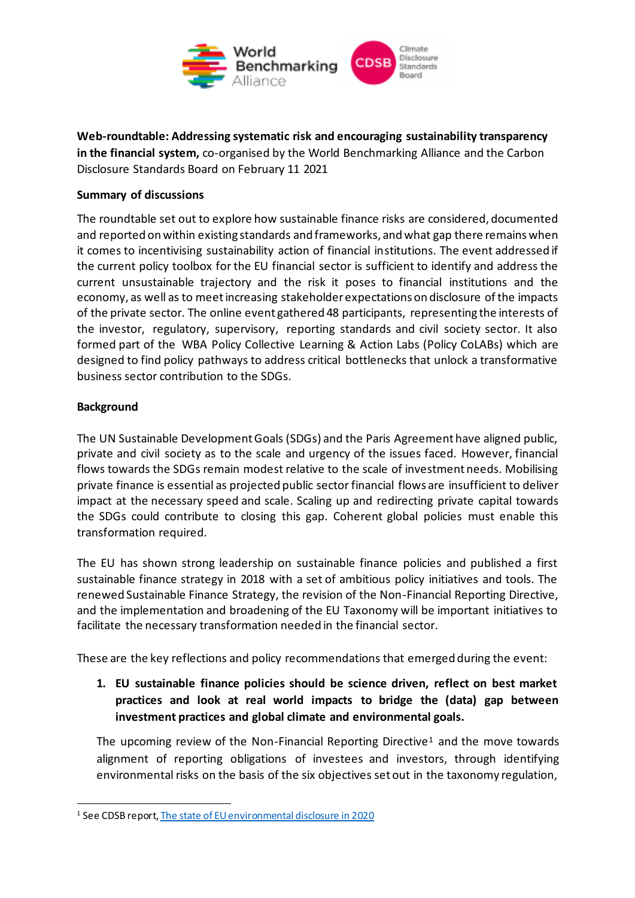

**Web-roundtable: Addressing systematic risk and encouraging sustainability transparency in the financial system,** co-organised by the World Benchmarking Alliance and the Carbon Disclosure Standards Board on February 11 2021

## **Summary of discussions**

The roundtable set out to explore how sustainable finance risks are considered, documented and reported on within existing standards and frameworks, and what gap there remains when it comes to incentivising sustainability action of financial institutions. The event addressed if the current policy toolbox for the EU financial sector is sufficient to identify and address the current unsustainable trajectory and the risk it poses to financial institutions and the economy, as well as to meet increasing stakeholder expectations on disclosure of the impacts of the private sector. The online event gathered 48 participants, representing the interests of the investor, regulatory, supervisory, reporting standards and civil society sector. It also formed part of the WBA Policy Collective Learning & Action Labs (Policy CoLABs) which are designed to find policy pathways to address critical bottlenecks that unlock a transformative business sector contribution to the SDGs.

## **Background**

The UN Sustainable Development Goals (SDGs) and the Paris Agreement have aligned public, private and civil society as to the scale and urgency of the issues faced. However, financial flows towards the SDGs remain modest relative to the scale of investment needs. Mobilising private finance is essential as projected public sector financial flows are insufficient to deliver impact at the necessary speed and scale. Scaling up and redirecting private capital towards the SDGs could contribute to closing this gap. Coherent global policies must enable this transformation required.

The EU has shown strong leadership on sustainable finance policies and published a first sustainable finance strategy in 2018 with a set of ambitious policy initiatives and tools. The renewed Sustainable Finance Strategy, the revision of the Non-Financial Reporting Directive, and the implementation and broadening of the EU Taxonomy will be important initiatives to facilitate the necessary transformation needed in the financial sector.

These are the key reflections and policy recommendations that emerged during the event:

**1. EU sustainable finance policies should be science driven, reflect on best market practices and look at real world impacts to bridge the (data) gap between investment practices and global climate and environmental goals.** 

The upcoming review of the Non-Financial Reporting Directive<sup>1</sup> and the move towards alignment of reporting obligations of investees and investors, through identifying environmental risks on the basis of the six objectives set out in the taxonomy regulation,

<sup>1</sup> See CDSB repor[t, The state of EU environmental disclosure in 2020](https://www.cdsb.net/nfrd2020)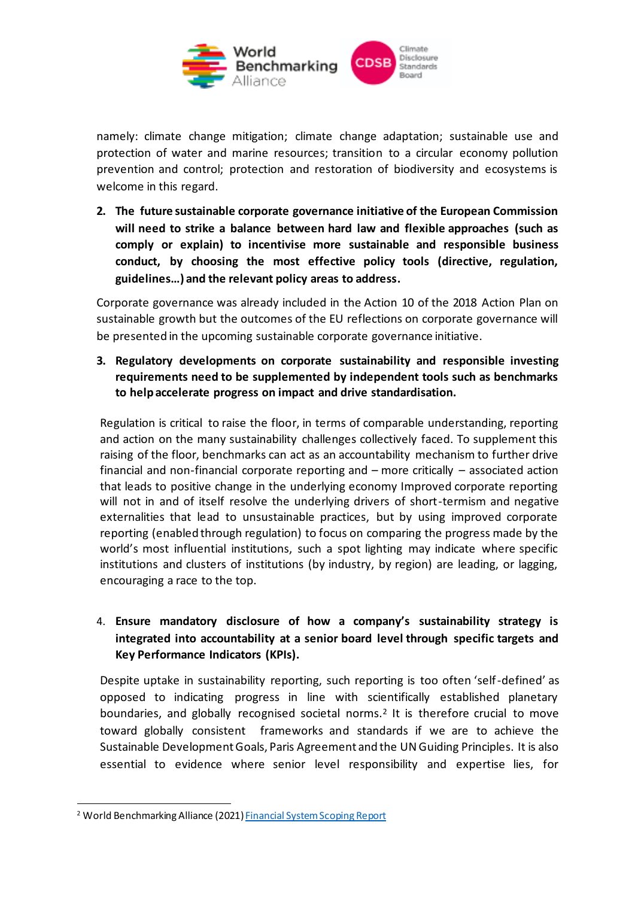

namely: climate change mitigation; climate change adaptation; sustainable use and protection of water and marine resources; transition to a circular economy pollution prevention and control; protection and restoration of biodiversity and ecosystems is welcome in this regard.

**2. The future sustainable corporate governance initiative of the European Commission will need to strike a balance between hard law and flexible approaches (such as comply or explain) to incentivise more sustainable and responsible business conduct, by choosing the most effective policy tools (directive, regulation, guidelines…) and the relevant policy areas to address.** 

Corporate governance was already included in the Action 10 of the 2018 Action Plan on sustainable growth but the outcomes of the EU reflections on corporate governance will be presented in the upcoming sustainable corporate governance initiative.

**3. Regulatory developments on corporate sustainability and responsible investing requirements need to be supplemented by independent tools such as benchmarks to help accelerate progress on impact and drive standardisation.**

Regulation is critical to raise the floor, in terms of comparable understanding, reporting and action on the many sustainability challenges collectively faced. To supplement this raising of the floor, benchmarks can act as an accountability mechanism to further drive financial and non-financial corporate reporting and – more critically – associated action that leads to positive change in the underlying economy Improved corporate reporting will not in and of itself resolve the underlying drivers of short-termism and negative externalities that lead to unsustainable practices, but by using improved corporate reporting (enabled through regulation) to focus on comparing the progress made by the world's most influential institutions, such a spot lighting may indicate where specific institutions and clusters of institutions (by industry, by region) are leading, or lagging, encouraging a race to the top.

## 4. **Ensure mandatory disclosure of how a company's sustainability strategy is integrated into accountability at a senior board level through specific targets and Key Performance Indicators (KPIs).**

Despite uptake in sustainability reporting, such reporting is too often 'self-defined' as opposed to indicating progress in line with scientifically established planetary boundaries, and globally recognised societal norms.<sup>2</sup> It is therefore crucial to move toward globally consistent frameworks and standards if we are to achieve the Sustainable Development Goals, Paris Agreement and the UN Guiding Principles. It is also essential to evidence where senior level responsibility and expertise lies, for

<sup>&</sup>lt;sup>2</sup> World Benchmarking Alliance (2021[\) Financial System Scoping Report](https://www.worldbenchmarkingalliance.org/research/fst-scoping-report/)